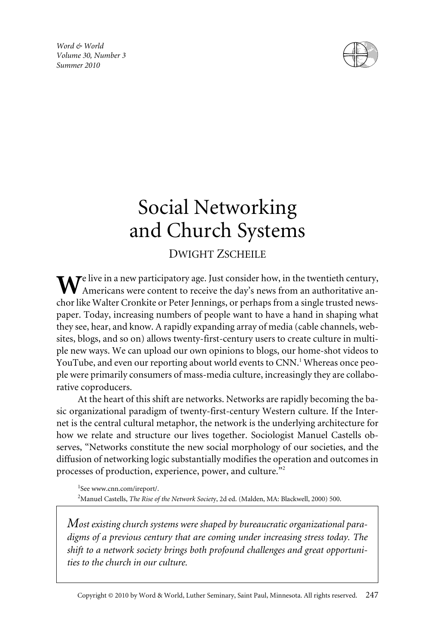*Word & World Volume 30, Number 3 Summer 2010*



# Social Networking and Church Systems

# DWIGHT ZSCHEILE

 $\mathbf{W}$ e live in a new participatory age. Just consider how, in the twentieth century, Americans were content to receive the day's news from an authoritative anchor like Walter Cronkite or Peter Jennings, or perhaps from a single trusted newspaper. Today, increasing numbers of people want to have a hand in shaping what they see, hear, and know. A rapidly expanding array of media (cable channels, websites, blogs, and so on) allows twenty-first-century users to create culture in multiple new ways. We can upload our own opinions to blogs, our home-shot videos to YouTube, and even our reporting about world events to CNN.<sup>1</sup> Whereas once people were primarily consumers of mass-media culture, increasingly they are collaborative coproducers.

At the heart of this shift are networks. Networks are rapidly becoming the basic organizational paradigm of twenty-first-century Western culture. If the Internet is the central cultural metaphor, the network is the underlying architecture for how we relate and structure our lives together. Sociologist Manuel Castells observes, "Networks constitute the new social morphology of our societies, and the diffusion of networking logic substantially modifies the operation and outcomes in processes of production, experience, power, and culture."<sup>2</sup>

1 See www.cnn.com/ireport/. 2 Manuel Castells, *The Rise of the Network Societ*y, 2d ed. (Malden, MA: Blackwell, 2000) 500.

*Most existing church systems were shaped by bureaucratic organizational paradigms of a previous century that are coming under increasing stress today. The shift to a network society brings both profound challenges and great opportunities to the church in our culture.*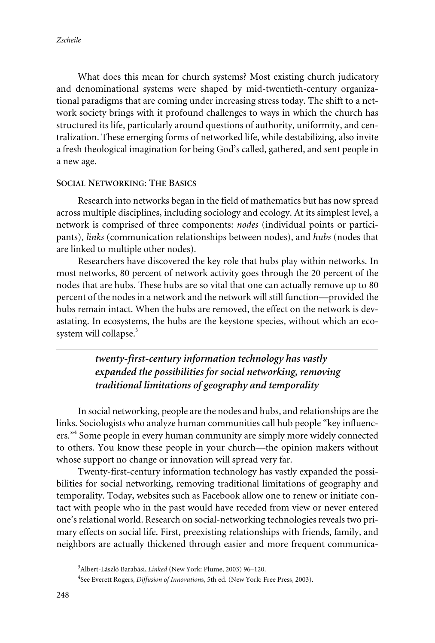What does this mean for church systems? Most existing church judicatory and denominational systems were shaped by mid-twentieth-century organizational paradigms that are coming under increasing stress today. The shift to a network society brings with it profound challenges to ways in which the church has structured its life, particularly around questions of authority, uniformity, and centralization. These emerging forms of networked life, while destabilizing, also invite a fresh theological imagination for being God's called, gathered, and sent people in a new age.

#### **SOCIAL NETWORKING: THE BASICS**

Research into networks began in the field of mathematics but has now spread across multiple disciplines, including sociology and ecology. At its simplest level, a network is comprised of three components: *nodes* (individual points or participants), *links* (communication relationships between nodes), and *hubs* (nodes that are linked to multiple other nodes).

Researchers have discovered the key role that hubs play within networks. In most networks, 80 percent of network activity goes through the 20 percent of the nodes that are hubs. These hubs are so vital that one can actually remove up to 80 percent of the nodes in a network and the network will still function—provided the hubs remain intact. When the hubs are removed, the effect on the network is devastating. In ecosystems, the hubs are the keystone species, without which an ecosystem will collapse.<sup>3</sup>

> *twenty-first-century information technology has vastly expanded the possibilities for social networking, removing traditional limitations of geography and temporality*

In social networking, people are the nodes and hubs, and relationships are the links. Sociologists who analyze human communities call hub people "key influencers."<sup>4</sup> Some people in every human community are simply more widely connected to others. You know these people in your church—the opinion makers without whose support no change or innovation will spread very far.

Twenty-first-century information technology has vastly expanded the possibilities for social networking, removing traditional limitations of geography and temporality. Today, websites such as Facebook allow one to renew or initiate contact with people who in the past would have receded from view or never entered one's relational world. Research on social-networking technologies reveals two primary effects on social life. First, preexisting relationships with friends, family, and neighbors are actually thickened through easier and more frequent communica-

<sup>3</sup> Albert-László Barabási, *Linked* (New York: Plume, 2003) 96–120.

<sup>4</sup> See Everett Rogers, *Diffusion of Innovation*s, 5th ed. (New York: Free Press, 2003).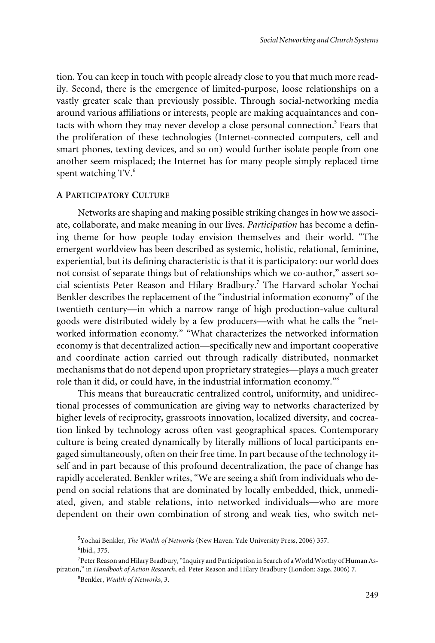tion. You can keep in touch with people already close to you that much more readily. Second, there is the emergence of limited-purpose, loose relationships on a vastly greater scale than previously possible. Through social-networking media around various affiliations or interests, people are making acquaintances and contacts with whom they may never develop a close personal connection.<sup>5</sup> Fears that the proliferation of these technologies (Internet-connected computers, cell and smart phones, texting devices, and so on) would further isolate people from one another seem misplaced; the Internet has for many people simply replaced time spent watching  $TV<sup>6</sup>$ .

## **A PARTICIPATORY CULTURE**

Networks are shaping and making possible striking changes in how we associate, collaborate, and make meaning in our lives. *Participation* has become a defining theme for how people today envision themselves and their world. "The emergent worldview has been described as systemic, holistic, relational, feminine, experiential, but its defining characteristic is that it is participatory: our world does not consist of separate things but of relationships which we co-author," assert social scientists Peter Reason and Hilary Bradbury.<sup>7</sup> The Harvard scholar Yochai Benkler describes the replacement of the "industrial information economy" of the twentieth century—in which a narrow range of high production-value cultural goods were distributed widely by a few producers—with what he calls the "networked information economy." "What characterizes the networked information economy is that decentralized action—specifically new and important cooperative and coordinate action carried out through radically distributed, nonmarket mechanisms that do not depend upon proprietary strategies—plays a much greater role than it did, or could have, in the industrial information economy."<sup>8</sup>

This means that bureaucratic centralized control, uniformity, and unidirectional processes of communication are giving way to networks characterized by higher levels of reciprocity, grassroots innovation, localized diversity, and cocreation linked by technology across often vast geographical spaces. Contemporary culture is being created dynamically by literally millions of local participants engaged simultaneously, often on their free time. In part because of the technology itself and in part because of this profound decentralization, the pace of change has rapidly accelerated. Benkler writes, "We are seeing a shift from individuals who depend on social relations that are dominated by locally embedded, thick, unmediated, given, and stable relations, into networked individuals—who are more dependent on their own combination of strong and weak ties, who switch net-

<sup>5</sup> Yochai Benkler, *The Wealth of Networks* (New Haven: Yale University Press, 2006) 357.

<sup>6</sup> Ibid., 375.

<sup>&</sup>lt;sup>7</sup> Peter Reason and Hilary Bradbury, "Inquiry and Participation in Search of a World Worthy of Human Aspiration," in *Handbook of Action Research*, ed. Peter Reason and Hilary Bradbury (London: Sage, 2006) 7.

<sup>8</sup> Benkler, *Wealth of Network*s, 3.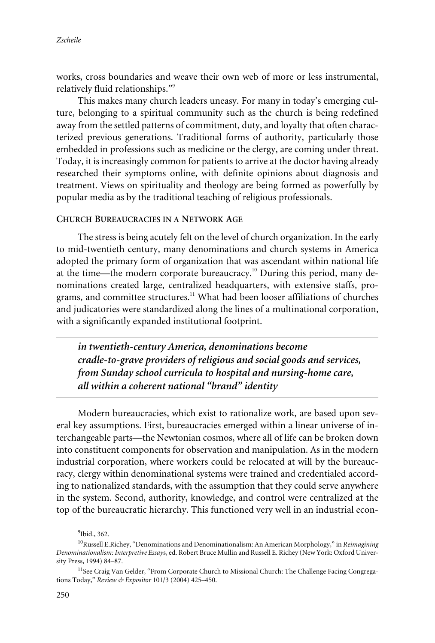works, cross boundaries and weave their own web of more or less instrumental, relatively fluid relationships."<sup>9</sup>

This makes many church leaders uneasy. For many in today's emerging culture, belonging to a spiritual community such as the church is being redefined away from the settled patterns of commitment, duty, and loyalty that often characterized previous generations. Traditional forms of authority, particularly those embedded in professions such as medicine or the clergy, are coming under threat. Today, it is increasingly common for patients to arrive at the doctor having already researched their symptoms online, with definite opinions about diagnosis and treatment. Views on spirituality and theology are being formed as powerfully by popular media as by the traditional teaching of religious professionals.

### **CHURCH BUREAUCRACIES IN A NETWORK AGE**

The stress is being acutely felt on the level of church organization. In the early to mid-twentieth century, many denominations and church systems in America adopted the primary form of organization that was ascendant within national life at the time—the modern corporate bureaucracy.<sup>10</sup> During this period, many denominations created large, centralized headquarters, with extensive staffs, programs, and committee structures.<sup>11</sup> What had been looser affiliations of churches and judicatories were standardized along the lines of a multinational corporation, with a significantly expanded institutional footprint.

*in twentieth-century America, denominations become cradle-to-grave providers of religious and social goods and services, from Sunday school curricula to hospital and nursing-home care, all within a coherent national "brand" identity*

Modern bureaucracies, which exist to rationalize work, are based upon several key assumptions. First, bureaucracies emerged within a linear universe of interchangeable parts—the Newtonian cosmos, where all of life can be broken down into constituent components for observation and manipulation. As in the modern industrial corporation, where workers could be relocated at will by the bureaucracy, clergy within denominational systems were trained and credentialed according to nationalized standards, with the assumption that they could serve anywhere in the system. Second, authority, knowledge, and control were centralized at the top of the bureaucratic hierarchy. This functioned very well in an industrial econ-

<sup>&</sup>lt;sup>9</sup>Ibid., 362.

<sup>10</sup>Russell E.Richey, "Denominations and Denominationalism: An American Morphology," in *Reimagining Denominationalism: Interpretive Essay*s, ed. Robert Bruce Mullin and Russell E. Richey (New York: Oxford University Press, 1994) 84–87.

<sup>&</sup>lt;sup>11</sup>See Craig Van Gelder, "From Corporate Church to Missional Church: The Challenge Facing Congregations Today," *Review & Expositor* 101/3 (2004) 425–450.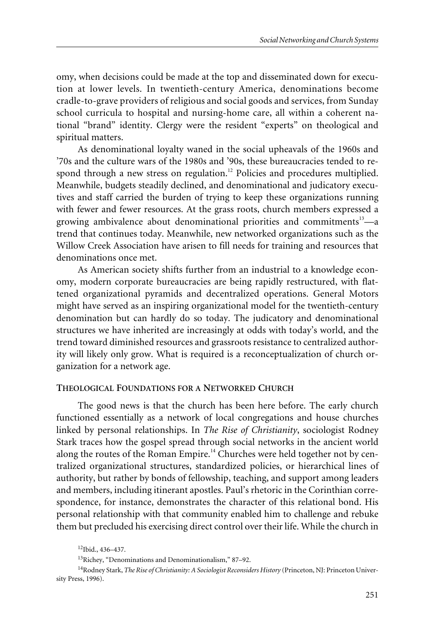omy, when decisions could be made at the top and disseminated down for execution at lower levels. In twentieth-century America, denominations become cradle-to-grave providers of religious and social goods and services, from Sunday school curricula to hospital and nursing-home care, all within a coherent national "brand" identity. Clergy were the resident "experts" on theological and spiritual matters.

As denominational loyalty waned in the social upheavals of the 1960s and '70s and the culture wars of the 1980s and '90s, these bureaucracies tended to respond through a new stress on regulation.<sup>12</sup> Policies and procedures multiplied. Meanwhile, budgets steadily declined, and denominational and judicatory executives and staff carried the burden of trying to keep these organizations running with fewer and fewer resources. At the grass roots, church members expressed a growing ambivalence about denominational priorities and commitments<sup>13</sup>—a trend that continues today. Meanwhile, new networked organizations such as the Willow Creek Association have arisen to fill needs for training and resources that denominations once met.

As American society shifts further from an industrial to a knowledge economy, modern corporate bureaucracies are being rapidly restructured, with flattened organizational pyramids and decentralized operations. General Motors might have served as an inspiring organizational model for the twentieth-century denomination but can hardly do so today. The judicatory and denominational structures we have inherited are increasingly at odds with today's world, and the trend toward diminished resources and grassroots resistance to centralized authority will likely only grow. What is required is a reconceptualization of church organization for a network age.

#### **THEOLOGICAL FOUNDATIONS FOR A NETWORKED CHURCH**

The good news is that the church has been here before. The early church functioned essentially as a network of local congregations and house churches linked by personal relationships. In *The Rise of Christianity*, sociologist Rodney Stark traces how the gospel spread through social networks in the ancient world along the routes of the Roman Empire.<sup>14</sup> Churches were held together not by centralized organizational structures, standardized policies, or hierarchical lines of authority, but rather by bonds of fellowship, teaching, and support among leaders and members, including itinerant apostles. Paul's rhetoric in the Corinthian correspondence, for instance, demonstrates the character of this relational bond. His personal relationship with that community enabled him to challenge and rebuke them but precluded his exercising direct control over their life. While the church in

 $12$ Ibid., 436–437.

<sup>13</sup>Richey, "Denominations and Denominationalism," 87–92.

<sup>14</sup>Rodney Stark, *The Rise of Christianity: A Sociologist Reconsiders History* (Princeton, NJ: Princeton University Press, 1996).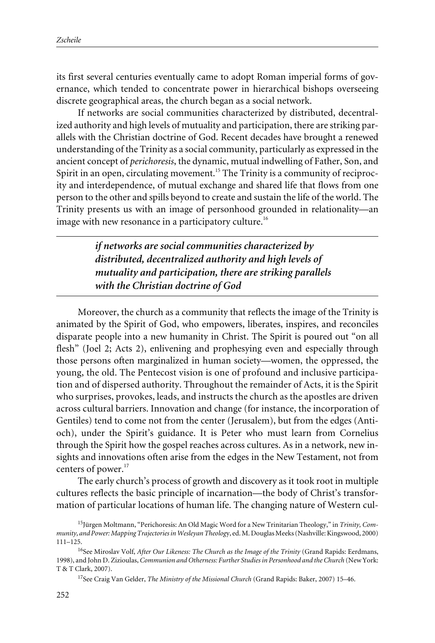its first several centuries eventually came to adopt Roman imperial forms of governance, which tended to concentrate power in hierarchical bishops overseeing discrete geographical areas, the church began as a social network.

If networks are social communities characterized by distributed, decentralized authority and high levels of mutuality and participation, there are striking parallels with the Christian doctrine of God. Recent decades have brought a renewed understanding of the Trinity as a social community, particularly as expressed in the ancient concept of *perichoresis*, the dynamic, mutual indwelling of Father, Son, and Spirit in an open, circulating movement.<sup>15</sup> The Trinity is a community of reciprocity and interdependence, of mutual exchange and shared life that flows from one person to the other and spills beyond to create and sustain the life of the world. The Trinity presents us with an image of personhood grounded in relationality—an image with new resonance in a participatory culture.<sup>16</sup>

> *if networks are social communities characterized by distributed, decentralized authority and high levels of mutuality and participation, there are striking parallels with the Christian doctrine of God*

Moreover, the church as a community that reflects the image of the Trinity is animated by the Spirit of God, who empowers, liberates, inspires, and reconciles disparate people into a new humanity in Christ. The Spirit is poured out "on all flesh" (Joel 2; Acts 2), enlivening and prophesying even and especially through those persons often marginalized in human society—women, the oppressed, the young, the old. The Pentecost vision is one of profound and inclusive participation and of dispersed authority. Throughout the remainder of Acts, it is the Spirit who surprises, provokes, leads, and instructs the church as the apostles are driven across cultural barriers. Innovation and change (for instance, the incorporation of Gentiles) tend to come not from the center (Jerusalem), but from the edges (Antioch), under the Spirit's guidance. It is Peter who must learn from Cornelius through the Spirit how the gospel reaches across cultures. As in a network, new insights and innovations often arise from the edges in the New Testament, not from centers of power.<sup>17</sup>

The early church's process of growth and discovery as it took root in multiple cultures reflects the basic principle of incarnation—the body of Christ's transformation of particular locations of human life. The changing nature of Western cul-

<sup>15</sup>Jürgen Moltmann, "Perichoresis: An Old Magic Word for a New Trinitarian Theology," in *Trinity, Community, and Power: Mapping Trajectories in Wesleyan Theolog*y, ed. M. Douglas Meeks (Nashville: Kingswood, 2000) 111–125.

<sup>&</sup>lt;sup>16</sup>See Miroslav Volf, *After Our Likeness: The Church as the Image of the Trinity* (Grand Rapids: Eerdmans, 1998), and John D. Zizioulas, *Communion and Otherness: Further Studies in Personhood and the Church* (New York: T & T Clark, 2007).

<sup>17</sup>See Craig Van Gelder, *The Ministry of the Missional Church* (Grand Rapids: Baker, 2007) 15–46.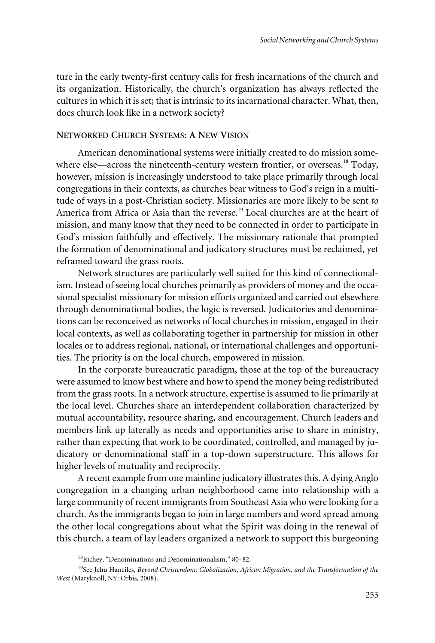ture in the early twenty-first century calls for fresh incarnations of the church and its organization. Historically, the church's organization has always reflected the cultures in which it is set; that is intrinsic to its incarnational character. What, then, does church look like in a network society?

### **NETWORKED CHURCH SYSTEMS: A NEW VISION**

American denominational systems were initially created to do mission somewhere else—across the nineteenth-century western frontier, or overseas.<sup>18</sup> Today, however, mission is increasingly understood to take place primarily through local congregations in their contexts, as churches bear witness to God's reign in a multitude of ways in a post-Christian society. Missionaries are more likely to be sent *to* America from Africa or Asia than the reverse.<sup>19</sup> Local churches are at the heart of mission, and many know that they need to be connected in order to participate in God's mission faithfully and effectively. The missionary rationale that prompted the formation of denominational and judicatory structures must be reclaimed, yet reframed toward the grass roots.

Network structures are particularly well suited for this kind of connectionalism. Instead of seeing local churches primarily as providers of money and the occasional specialist missionary for mission efforts organized and carried out elsewhere through denominational bodies, the logic is reversed. Judicatories and denominations can be reconceived as networks of local churches in mission, engaged in their local contexts, as well as collaborating together in partnership for mission in other locales or to address regional, national, or international challenges and opportunities. The priority is on the local church, empowered in mission.

In the corporate bureaucratic paradigm, those at the top of the bureaucracy were assumed to know best where and how to spend the money being redistributed from the grass roots. In a network structure, expertise is assumed to lie primarily at the local level. Churches share an interdependent collaboration characterized by mutual accountability, resource sharing, and encouragement. Church leaders and members link up laterally as needs and opportunities arise to share in ministry, rather than expecting that work to be coordinated, controlled, and managed by judicatory or denominational staff in a top-down superstructure. This allows for higher levels of mutuality and reciprocity.

A recent example from one mainline judicatory illustrates this. A dying Anglo congregation in a changing urban neighborhood came into relationship with a large community of recent immigrants from Southeast Asia who were looking for a church. As the immigrants began to join in large numbers and word spread among the other local congregations about what the Spirit was doing in the renewal of this church, a team of lay leaders organized a network to support this burgeoning

<sup>18</sup>Richey, "Denominations and Denominationalism," 80–82.

<sup>19</sup>See Jehu Hanciles, *Beyond Christendom: Globalization, African Migration, and the Transformation of the West* (Maryknoll, NY: Orbis, 2008).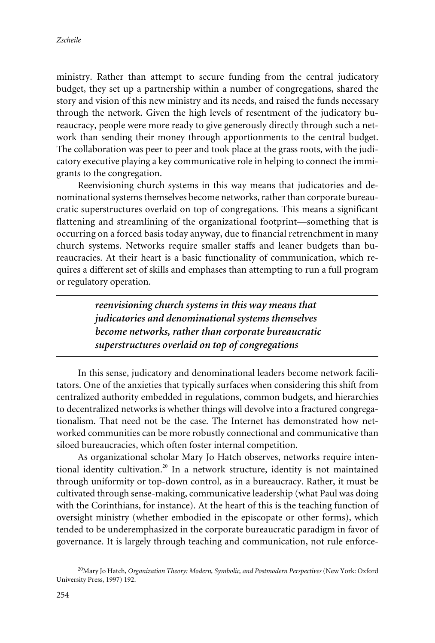ministry. Rather than attempt to secure funding from the central judicatory budget, they set up a partnership within a number of congregations, shared the story and vision of this new ministry and its needs, and raised the funds necessary through the network. Given the high levels of resentment of the judicatory bureaucracy, people were more ready to give generously directly through such a network than sending their money through apportionments to the central budget. The collaboration was peer to peer and took place at the grass roots, with the judicatory executive playing a key communicative role in helping to connect the immigrants to the congregation.

Reenvisioning church systems in this way means that judicatories and denominational systems themselves become networks, rather than corporate bureaucratic superstructures overlaid on top of congregations. This means a significant flattening and streamlining of the organizational footprint—something that is occurring on a forced basis today anyway, due to financial retrenchment in many church systems. Networks require smaller staffs and leaner budgets than bureaucracies. At their heart is a basic functionality of communication, which requires a different set of skills and emphases than attempting to run a full program or regulatory operation.

> *reenvisioning church systems in this way means that judicatories and denominational systems themselves become networks, rather than corporate bureaucratic superstructures overlaid on top of congregations*

In this sense, judicatory and denominational leaders become network facilitators. One of the anxieties that typically surfaces when considering this shift from centralized authority embedded in regulations, common budgets, and hierarchies to decentralized networks is whether things will devolve into a fractured congregationalism. That need not be the case. The Internet has demonstrated how networked communities can be more robustly connectional and communicative than siloed bureaucracies, which often foster internal competition.

As organizational scholar Mary Jo Hatch observes, networks require intentional identity cultivation.<sup>20</sup> In a network structure, identity is not maintained through uniformity or top-down control, as in a bureaucracy. Rather, it must be cultivated through sense-making, communicative leadership (what Paul was doing with the Corinthians, for instance). At the heart of this is the teaching function of oversight ministry (whether embodied in the episcopate or other forms), which tended to be underemphasized in the corporate bureaucratic paradigm in favor of governance. It is largely through teaching and communication, not rule enforce-

<sup>20</sup>Mary Jo Hatch, *Organization Theory: Modern, Symbolic, and Postmodern Perspectives* (New York: Oxford University Press, 1997) 192.